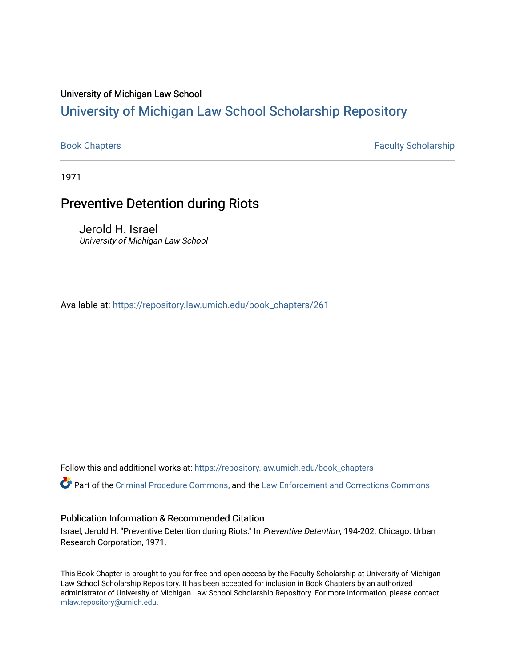#### University of Michigan Law School

### [University of Michigan Law School Scholarship Repository](https://repository.law.umich.edu/)

[Book Chapters](https://repository.law.umich.edu/book_chapters) Faculty Scholarship

1971

#### Preventive Detention during Riots

Jerold H. Israel University of Michigan Law School

Available at: [https://repository.law.umich.edu/book\\_chapters/261](https://repository.law.umich.edu/book_chapters/261) 

Follow this and additional works at: [https://repository.law.umich.edu/book\\_chapters](https://repository.law.umich.edu/book_chapters?utm_source=repository.law.umich.edu%2Fbook_chapters%2F261&utm_medium=PDF&utm_campaign=PDFCoverPages)

Part of the [Criminal Procedure Commons,](http://network.bepress.com/hgg/discipline/1073?utm_source=repository.law.umich.edu%2Fbook_chapters%2F261&utm_medium=PDF&utm_campaign=PDFCoverPages) and the [Law Enforcement and Corrections Commons](http://network.bepress.com/hgg/discipline/854?utm_source=repository.law.umich.edu%2Fbook_chapters%2F261&utm_medium=PDF&utm_campaign=PDFCoverPages)

#### Publication Information & Recommended Citation

Israel, Jerold H. "Preventive Detention during Riots." In Preventive Detention, 194-202. Chicago: Urban Research Corporation, 1971.

This Book Chapter is brought to you for free and open access by the Faculty Scholarship at University of Michigan Law School Scholarship Repository. It has been accepted for inclusion in Book Chapters by an authorized administrator of University of Michigan Law School Scholarship Repository. For more information, please contact [mlaw.repository@umich.edu.](mailto:mlaw.repository@umich.edu)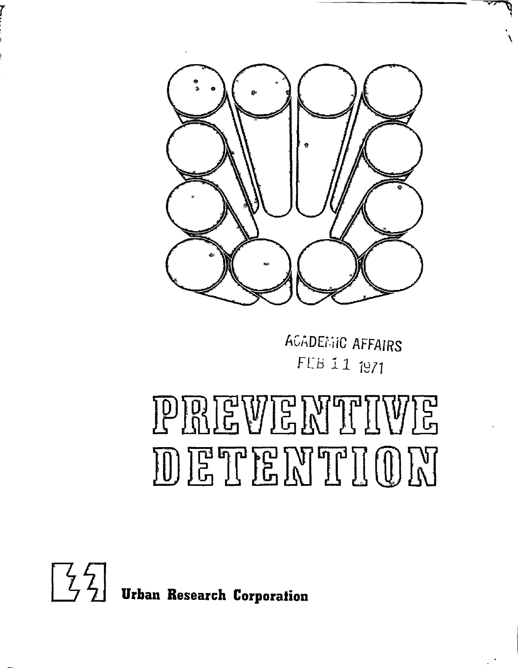

hGADEr,iiC AFFAIRS *F[B* 11 7977

 $\mathcal{L}$ 

# PREWE MTHIWE DETENTION



r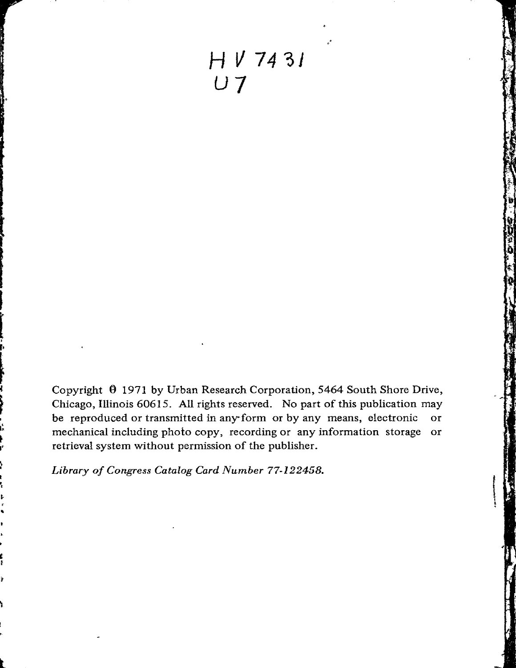H V 7431 *U]* 

Copyright 9 1971 by Urban Research Corporation, 5464 South Shore Drive, Chicago, Illinois 60615. All rights reserved. No part of this publication may be reproduced or transmitted in any-form or by any means, electronic or mechanical including photo copy, recording or any information storage or retrieval system without permission of the publisher.

*Library of Congress Catalog Card Number 77-122458 .* 

•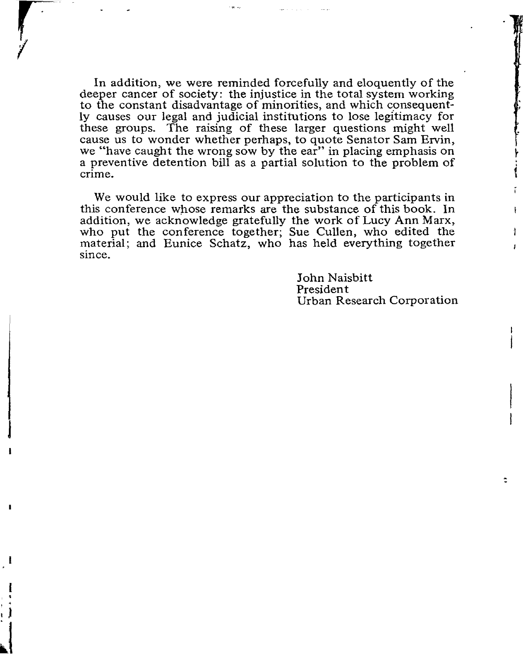In addition, we were reminded forcefully and eloquently of the deeper cancer of society: the injustice in the total system working to the constant disadvantage of minorities, and which consequently causes our legal and judicial institutions to lose legitimacy for these groups. The raising of these larger questions might well cause us to wonder whether perhaps, to quote Senator Sam Ervin, we "have caught the wrong sow by the ear" in placing emphasis on a preventive detention bill as a partial solution to the problem of crime.

We would like to express our appreciation to the participants in this conference whose remarks are the substance of this book. In addition, we acknowledge gratefully the work of Lucy Ann Marx, who put the conference together; Sue Cullen, who edited the material; and Eunice Schatz, who has held everything together since.

J

I

<sup>I</sup>J

 $\mathbf{l}$ 

John Naisbitt President Urban Research Corporation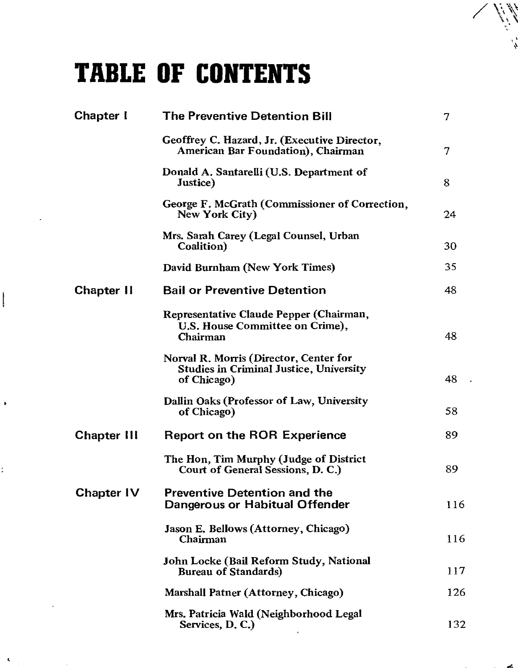## **TABLE OF CONTENTS**

 $\tilde{\mathbf{g}}$ 

| Chapter I          | <b>The Preventive Detention Bill</b>                                                                    | 7   |
|--------------------|---------------------------------------------------------------------------------------------------------|-----|
|                    | Geoffrey C. Hazard, Jr. (Executive Director,<br><b>American Bar Foundation), Chairman</b>               | 7   |
|                    | Donald A. Santarelli (U.S. Department of<br>Justice)                                                    | 8   |
|                    | George F. McGrath (Commissioner of Correction,<br>New York City)                                        | 24  |
|                    | Mrs. Sarah Carey (Legal Counsel, Urban<br>Coalition)                                                    | 30  |
|                    | David Burnham (New York Times)                                                                          | 35  |
| <b>Chapter II</b>  | <b>Bail or Preventive Detention</b>                                                                     | 48  |
|                    | Representative Claude Pepper (Chairman,<br>U.S. House Committee on Crime),<br>Chairman                  | 48  |
|                    | Norval R. Morris (Director, Center for<br><b>Studies in Criminal Justice, University</b><br>of Chicago) | 48  |
|                    | Dallin Oaks (Professor of Law, University<br>of Chicago)                                                | 58  |
| <b>Chapter III</b> | Report on the ROR Experience                                                                            | 89  |
|                    | The Hon, Tim Murphy (Judge of District<br>Court of General Sessions, D. C.)                             | 89  |
| Chapter IV         | <b>Preventive Detention and the</b><br>Dangerous or Habitual Offender                                   | 116 |
|                    | Jason E. Bellows (Attorney, Chicago)<br>Chairman                                                        | 116 |
|                    | John Locke (Bail Reform Study, National<br><b>Bureau of Standards)</b>                                  | 117 |
|                    | Marshall Patner (Attorney, Chicago)                                                                     | 126 |
|                    | Mrs. Patricia Wald (Neighborhood Legal<br>Services, D.C.)                                               | 132 |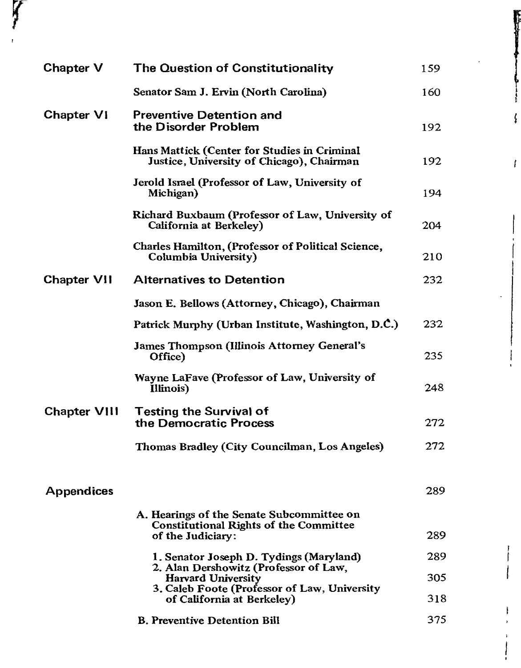| Chapter V           | The Question of Constitutionality                                                                               | 159 |
|---------------------|-----------------------------------------------------------------------------------------------------------------|-----|
|                     | Senator Sam J. Ervin (North Carolina)                                                                           | 160 |
| <b>Chapter VI</b>   | <b>Preventive Detention and</b><br>the Disorder Problem                                                         | 192 |
|                     | Hans Mattick (Center for Studies in Criminal<br>Justice, University of Chicago), Chairman                       | 192 |
|                     | Jerold Israel (Professor of Law, University of<br>Michigan)                                                     | 194 |
|                     | Richard Buxbaum (Professor of Law, University of<br>California at Berkeley)                                     | 204 |
|                     | <b>Charles Hamilton, (Professor of Political Science,</b><br>Columbia University)                               | 210 |
| <b>Chapter VII</b>  | <b>Alternatives to Detention</b>                                                                                | 232 |
|                     | Jason E. Bellows (Attorney, Chicago), Chairman                                                                  |     |
|                     | Patrick Murphy (Urban Institute, Washington, D.C.)                                                              | 232 |
|                     | <b>James Thompson (Illinois Attorney General's</b><br>Office)                                                   | 235 |
|                     | Wayne LaFave (Professor of Law, University of<br>Illinois)                                                      | 248 |
| <b>Chapter VIII</b> | <b>Testing the Survival of</b><br>the Democratic Process                                                        | 272 |
|                     | Thomas Bradley (City Councilman, Los Angeles)                                                                   | 272 |
| <b>Appendices</b>   |                                                                                                                 | 289 |
|                     | A. Hearings of the Senate Subcommittee on<br><b>Constitutional Rights of the Committee</b><br>of the Judiciary: | 289 |
|                     | 1. Senator Joseph D. Tydings (Maryland)                                                                         | 289 |
|                     | 2. Alan Dershowitz (Professor of Law,<br><b>Harvard University</b>                                              | 305 |
|                     | 3. Caleb Foote (Professor of Law, University<br>of California at Berkeley)                                      | 318 |
|                     | <b>B. Preventive Detention Bill</b>                                                                             | 375 |

r I I

ł

r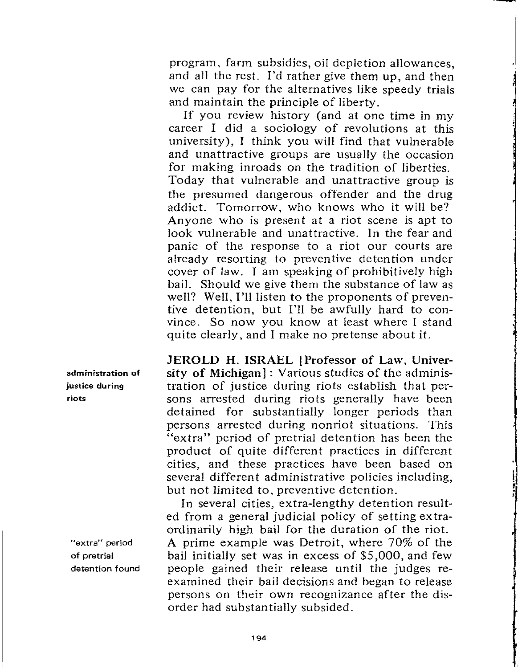program, farm subsidies, oil depletion allowances, and al1 the rest. I'd rather give them up, and then we can pay for the alternatives like speedy trials and maintain the principle of liberty.

If you review history (and at one time in my career I did a sociology of revolutions at this university), I think you will find that vulnerable and unattractive groups are usually the occasion for making inroads on the tradition of liberties. Today that vulnerable and unattractive group is the presumed dangerous offender and the drug addict. Tomorrow, who knows who it will be? Anyone who is present at a riot scene is apt to look vulnerable and unattractive. In the fear and panic of the response to a riot our courts are already resorting to preventive detention under cover of law. I am speaking of prohibitively high bail. Should we give them the substance of law as well? Well, I'll listen to the proponents of preventive detention, but I'll be awfully hard to convince. So now you know at least where I stand quite clearly, and I make no pretense about it.

**JEROLD H. ISRAEL [Professor of Law, University of Michigan]:** Various studies of the administration of justice during riots establish that persons arrested during riots generally have been detained for substantially longer periods than persons arrested during nonriot situations. This "extra" period of pretrial detention has been the product of quite different practices in different cities, and these practices have been based on several different administrative policies including, but not limited to, preventive detention.

In several cities, extra-lengthy detention resulted from a general judicial policy of setting extraordinarily high bail for the duration of the riot. A prime example was Detroit, where 70% of the bail initially set was in excess of \$5,000, and few people gained their release until the judges reexamined their bail decisions and began to release persons on their own recognizance after the disorder had substantially subsided.

administration **of**  justice during riots

"extra" period of pretrial detention found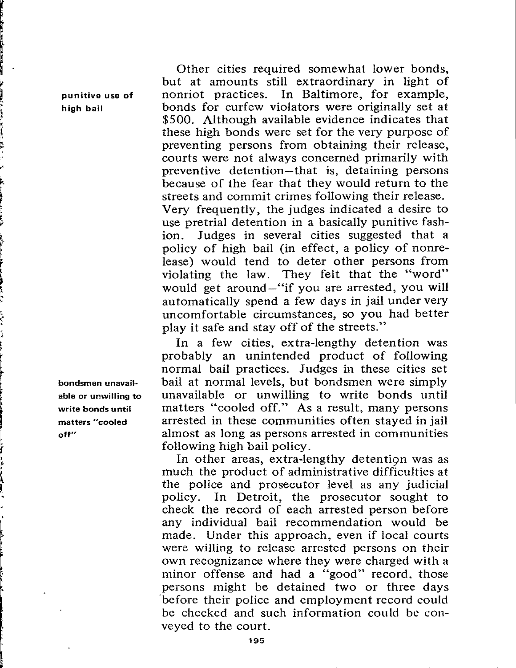Other cities required somewhat lower bonds, but at amounts still extraordinary in light of punitive use **of** nonriot practices. In Baltimore, for example, high bail bonds for curfew violators were originally set at \$500. Although available evidence indicates that these high bonds were set for the very purpose of preventing persons from obtaining their release, courts were not always concerned primarily with preventive detention-that is, detaining persons because of the fear that they would return to the streets and commit crimes following their release. Very frequently, the judges indicated a desire to use pretrial detention in a basically punitive fashion. Judges in several cities suggested that a policy of high bail (in effect, a policy of nonrelease) would tend to deter other persons from violating the law. They felt that the "word" would get around-"if you are arrested, you **will**  automatically spend a few days in jail under very uncomfortable circumstances, so you had better play it safe and stay off of the streets."

In a few cities, extra-lengthy detention was probably an unintended product of following normal bail practices. Judges in these cities set bondsmen unavail• bail at normal levels, but bondsmen were simply able or unwilling to unavailable or unwilling to write bonds until **write bonds until** matters "cooled off." As a result, many persons **matters "cooled** arrested **in** these communities often stayed in jail **oft"** almost as long as persons arrested in communities following high bail policy.

> In other areas, extra-lengthy detention was as much the product of administrative difficulties at the police and prosecutor level as any judicial policy. In Detroit, the prosecutor sought to check the record of each arrested person before any individual bail recommendation would be made. Under this approach, even if local courts were willing to release arrested persons on their own recognizance where they were charged with a minor offense and had a "good" record, those persons might be detained two or three days before their police and employment record could be checked and such information could be conveyed to the court.

l

e<br>ergani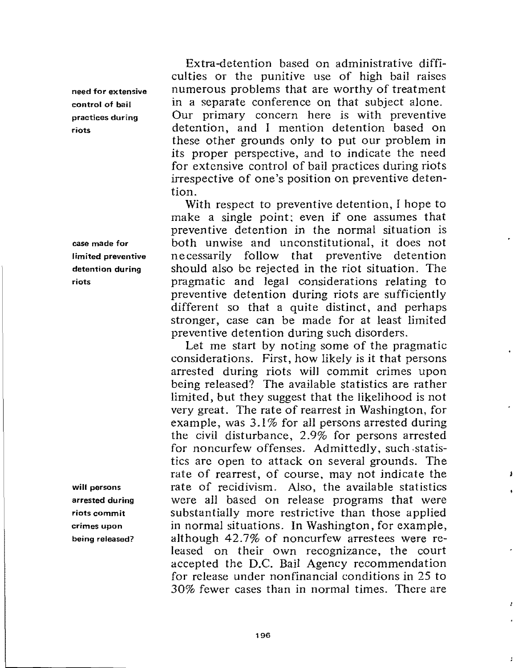need for extensive control of bail practices during riots

**case made for limited preventive detention during riots** 

**will persons arrested during riots commit crimes upon being released?** 

Extra-detention based on administrative difficulties or the punitive use of high bail raises numerous problems that are worthy of treatment in a separate conference on that subject alone. Our primary concern here is with preventive detention, and I mention detention based on these other grounds only to put our problem in its proper perspective, and to indicate the need for extensive control of bail practices during riots irrespective of one's position on preventive detention.

With respect to preventive detention, I hope to make a single point; even if one assumes that preventive detention in the normal situation is both unwise and unconstitutional, it does not necessarily follow that preventive detention should also be rejected in the riot situation. The pragmatic and legal considerations relating to preventive detention during riots are sufficiently different so that a quite distinct, and perhaps stronger, case can be made for at least limited preventive detention during such disorders.

Let me start by noting some of the pragmatic considerations. First, how likely is it that persons arrested during riots will commit crimes upon being released? The available statistics are rather limited, but they suggest that the likelihood is not very great. The rate of rearrest in Washington, for example, was  $3.1\%$  for all persons arrested during the dvil disturbance, 2.9% for persons arrested for noncurfew offenses. Admittedly, such -statistics arc open to attack on several grounds. The rate of rearrest, of course, may not indicate the rate of recidivism. Also, the available statistics were all based on release programs that were substantially more restrictive than those applied in normal situations. In Washington, for example, although 42.7% of noncurfew arrestees were released on their own recognizance, the court accepted the D.C. Bail Agency recommendation for release under nonfinancial conditions in 25 to 30% fewer cases than in normal times. There are

,I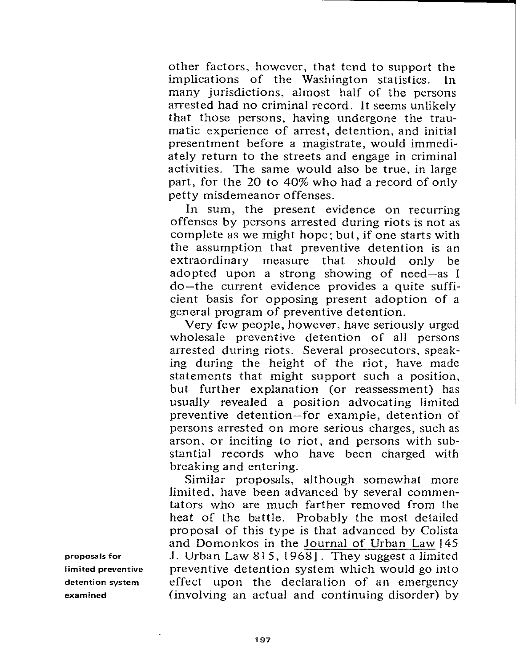other factors, however, that tend to support the implications of the Washington statistics. In many jurisdictions, almost half of the persons arrested had no criminal record. It seems unlikely that those persons, having undergone the traumatic experience of arrest, detention, and initial presentment before a magistrate, would immediately return to the streets and engage in criminal activities. The same would also be true, in large part, for the 20 to 40% who had a record of only petty misdemeanor offenses.

In sum, the present evidence on recurring offenses by persons arrested during riots is not as complete as we might hope; but, if one starts with the assumption that preventive detention is an extraordinary measure that should only be adopted upon a strong showing of need-as I do-the current evidence provides a quite sufficient basis for opposing present adoption of a general program of preventive detention.

Very few people, however, have seriously urged wholesale preventive detention of all persons arrested during riots. Several prosecutors, speaking during the height of the riot, have made statements that might support such a position, but further explanation (or reassessment) has usually revealed a position advocating limited preventive detention-for example, detention of persons arrested on more serious charges, such as arson, or inciting to riot, and persons with substantial records who have been charged with breaking and entering.

Similar proposals, although somewhat more limited, have been advanced by several commentators who are much farther removed from the heat of the battle. Probably the most detailed proposal of this type is that advanced by Calista and Domonkos in the Journal of Urban Law [ 45 J. Urban Law 815, 1968]. They suggest a limited preventive detention system which would go into effect upon the declaration of an emergency (involving an actual and continuing disorder) by

**proposals for**  I **imited preventive**  detention **system examined**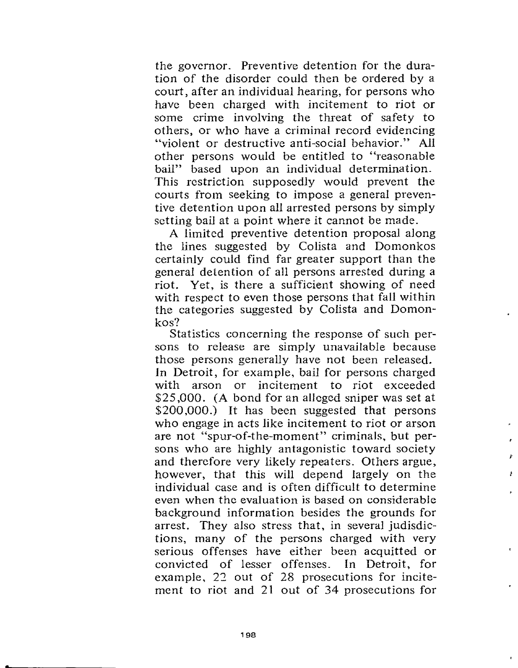the governor. Preventive detention for the duration of the disorder could then be ordered by a court, after an individual hearing, for persons who have been charged with incitement to riot or some crime involving the threat of safety to others, or who have a criminal record evidencing "violent or destructive anti-social behavior." All other persons would be entitled to "reasonable bail" based upon an individual determination. This restriction supposedly would prevent the courts from seeking to impose a general preventive detention upon all arrested persons by simply setting bail at a point where it cannot be made.

A limited preventive detention proposal along the lines suggested by Colista and Domonkos certainly could find far greater support than the general detention of all persons arrested during a riot. Yet, is there a sufficient showing of need with respect to even those persons that fall within the categories suggested by Calista and Domonkos?

Statistics concerning the response of such persons to release are simply unavailable because those persons generally have not been released. In Detroit, for example, bail for persons charged with arson or incitement to riot exceeded \$25,000. (A bond for an alleged sniper was set at \$200,000.) It has been suggested that persons who engage in acts like incitement to riot or arson are not "spur-of-the-moment" criminals, but persons who are highly antagonistic toward society and therefore very likely repeaters. Others argue, however, that this will depend largely on the individual case and is often difficult to determine even when the evaluation is based on considerable background information besides the grounds for arrest. They also stress that, in several judisdictions, many of the persons charged with very serious offenses have either been acquitted or convicted of lesser offenses. In Detroit, for example, *22* out of 28 prosecutions for incitement to riot and 21 out of 34 prosecutions for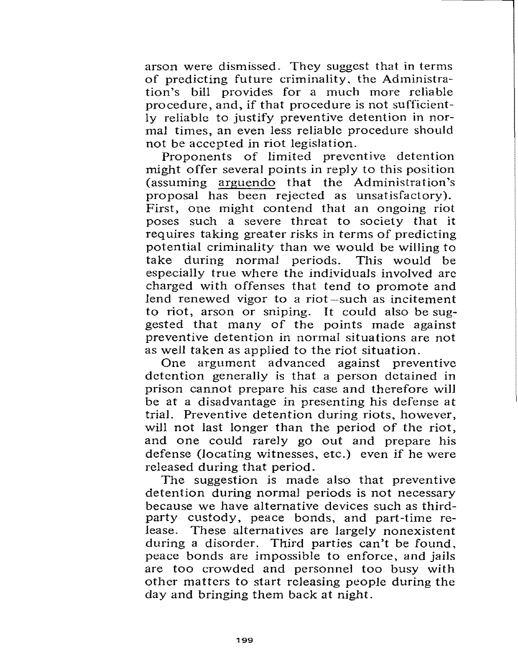arson were dismissed. They suggest that in terms of predicting future criminality, the Administration's bill provides for a much more reliable procedure, and, if that procedure is not sufficiently reliable to justify preventive detention in normal times, an even less reliable procedure should not be accepted in riot legislation.

Proponents of limited preventive detention might offer several points in reply to this position (assuming arguendo that the Administration's proposal has been rejected as unsatisfactory). First, one might contend that an ongoing riot poses such a severe threat to society that it requires taking greater risks in terms of predicting potential criminality than we would be willing to take during normal periods. This would be especially true where the individuals involved are charged with offenses that tend to promote and lend renewed vigor to a riot-such as incitement to riot, arson or sniping. It could also be suggested that many of the points made against preventive detention in normal situations are not as well taken as applied to the riot situation.

One argument advanced against preventive detention generally is that a person detained in prison cannot prepare his case and therefore will be at a disadvantage in presenting his defense at trial. Preventive detention during riots, however, will not last longer than the period of the riot, and one could rarely go out and prepare his defense (locating witnesses, etc.) even if he were released during that period.

The suggestion is made also that preventive detention during normal periods is not necessary because we have alternative devices such as thirdparty custody, peace bonds, and part-time release. These alternatives are largely nonexistent during a disorder. Third parties can't be found, peace bonds are impossible to enforce, and jails are too crowded and personnel too busy with other matters to start releasing people during the day and bringing them back at night.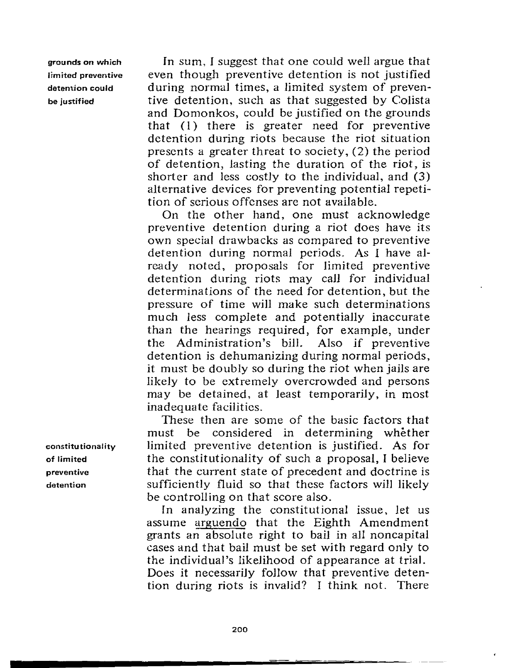grounds on which limited preventive detention could be justified

In sum, I suggest that one could well argue that even though preventive detention is not justified during normal times, a limited system of preventive detention, such as that suggested by Colista and Domonkos, could be justified on the grounds that  $(1)$  there is greater need for preventive detention during riots because the riot situation presents a greater threat to society, (2) the period of detention, lasting the duration of the riot, is shorter and less costly to the individual, and (3) alternative devices for preventing potential repetition of serious offenses are not available.

On the other hand, one must acknowledge preventive detention during a riot does have its own special drawbacks as compared to preventive detention during normal periods. As I have *al*ready noted, proposals for limited preventive detention during riots may caJl for individual determinations of the need for detention, but the pressure of time will make such determinations much less complete and potentially inaccurate than the hearings required, for example, under the Administration's biJL Also if preventive detention is dehumanizing during normal periods, it must be doubly so during the riot when jails are likely to be extremely overcrowded and persons may be detained, at least temporarily, in most inadequate facilities.

These then are some of the basic factors that must be considered in determining whether limited preventive detention is justified. As for the constitutionality of such a proposal, I believe that the current state of precedent and doctrine is sufficiently fluid so that these factors will likely be controlling on that score also.

In analyzing the constitutional issue, let us assume arguendo that the Eighth Amendment grants an absolute right to bail in all noncapital cases and that bail must be set with regard only to the individual's likelihood of appearance at trial. Does it necessarily follow that preventive detention during riots is invalid? I think not. There

constitutionality of limited preventive detention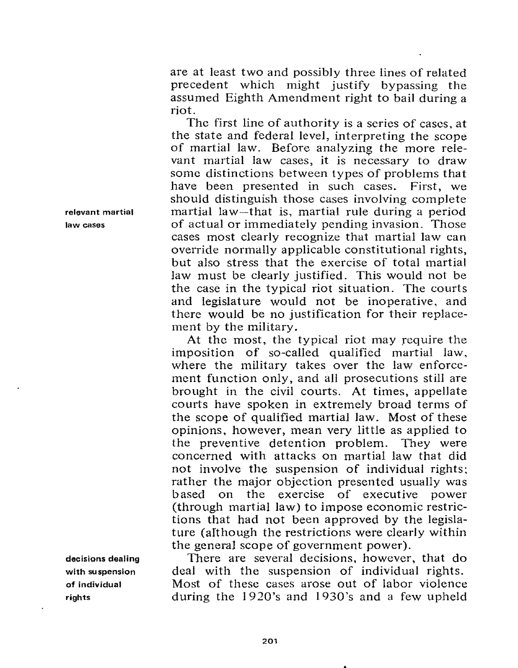are at least two and possibly three lines of related precedent which might justify bypassing the assumed Eighth Amendment right to bail during a riot.

The first line of authority is a series of cases, at the state and federal level, interpreting the scope of martial law. Before analyzing the more relevant martial law cases, it is necessary to draw some distinctions between types of problems that have been presented in such cases. First, we should distinguish those cases involving complete martial law-that is, martial rule during a period of actual or immediately pending invasion. Those cases most clearly recognize that martial law can override normally applicable constitutional rights, but also stress that the exercise of total martial law must be clearly justified. This would not be the case in the typical riot situation. The courts and legislature would not be inoperative, and there would be no justification for their replacement by the military.

At the most, the typical riot may require the imposition of so-called qualified martial law, where the military takes over the law enforcement function only, and all prosecutions still are brought in the civil courts. At times, appellate courts have spoken in extremely broad terms of the scope of qualified martial law. Most of these opinions, however, mean very little as applied to the preventive detention problem. They were concerned with attacks on martial law that did not involve the suspension of individual rights; rather the major objection presented usually was based on the exercise of executive power (through martial law) to impose economic restrictions that had not been approved by the legislature (although the restrictions were clearly within the general scope of government power).

There are several decisions, however, that do deal with the suspension of individual rights. Most of these cases arose out of labor violence during the 1920's and 1930's and a few upheld

**relevant martial law cases** 

**decisions dealing with suspension of individual rights**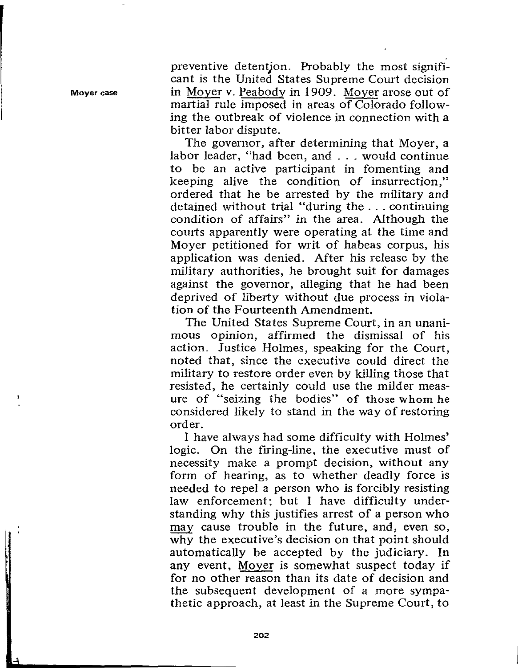preventive detentjon. Probably the most significant is the United States Supreme Court decision in Moyer v. Peabody in 1909. Moyer arose out of martial rule imposed in areas of Colorado fallowing the outbreak of violence in connection with a bitter labor dispute.

The governor, after determining that Moyer, a labor leader, "had been, and ... would continue to be an active participant in fomenting and keeping alive the condition of insurrection," ordered that he be arrested by the military and detained without trial "during the ... continuing condition of affairs" in the area. Although the courts apparently were operating at the time and Moyer petitioned for writ of habeas corpus, his application was denied. After his release by the military authorities, he brought suit for damages against the governor, alleging that he had been deprived of liberty without due process in violation of the Fourteenth Amendment.

The United States Supreme Court, in an unanimous opinion, affirmed the dismissal of his action. Justice Holmes, speaking for the Court, noted that, since the executive could direct the military to restore order even by killing those that resisted, he certainly could use the milder measure of "seizing the bodies" of those whom he considered likely to stand in the way of restoring order.

I have always had some difficulty with Holmes' logic. On the firing-line, the executive must of necessity make a prompt decision, without any form of hearing, as to whether deadly force is needed to repel a person who is forcibly resisting law enforcement; but I have difficulty understanding why this justifies arrest of a person who may cause trouble in the future, and, even so, why the executive's decision on that point should automatically be accepted by the judiciary. In any event, Moyer is somewhat suspect today if for no other reason than its date of decision and the subsequent development of a more sympathetic approach, at least in the Supreme Court, to

**Moyer case** 

**MARK DESCRIPTION OF REAL PROPERTY.**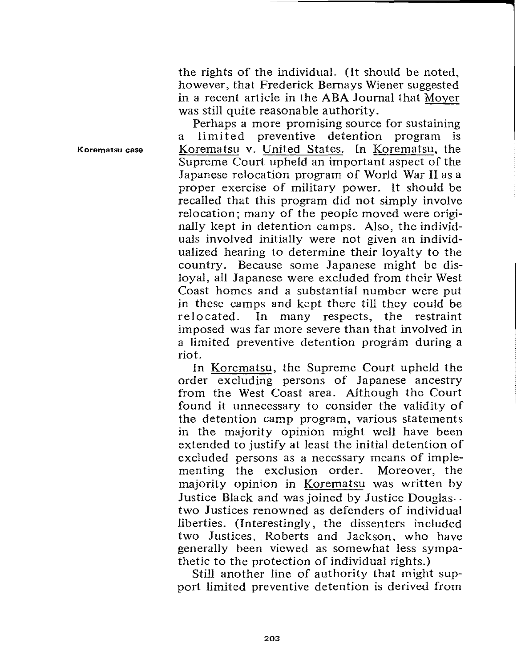the rights of the individual. (It should be noted, however, that Frederick Bernays Wiener suggested in a recent article in the ABA Journal that Moyer was still quite reasonable authority.

**Korematsu case**  Perhaps a more promising source for sustaining a limited preventive detention program is Korematsu v. United States. IR Korematsu, the Supreme Court upheld an important aspect of the Japanese relocation program of World War II as a proper exercise of military power. lt should be recalled that this program did not simply involve relocation; many of the people moved were originally kept in detention camps. Also, the individuals involved initially were not given an individualized hearing to determine their loyalty to the country. Because some Japanese might be disloyal, all Japanese were excluded from their West Coast homes and a substantial number were put in these camps and kept there till they could be relocated. In many respects, the restraint imposed was far more severe than that involved in a limited preventive detention program during a riot.

> In Korematsu, the Supreme Court upheld the order excluding persons of Japanese ancestry from the West Coast area. Although the Court found it unnecessary to consider the validity of the detention camp program, various statements in the majority opinion might well have been extended to justify at least the initial detention of excluded persons as a necessary means of implementing the exclusion order. Moreover, the majority opinion in Korematsu was written by Justice Black and was joined by Justice Douglastwo Justices renowned as defenders of individual liberties. (Interestingly, the dissenters included two Justices, Roberts and Jackson, who have generally been viewed as somewhat less sympathetic to the protection of individual rights.)

> Still another line of authority that might support limited preventive detention is derived from